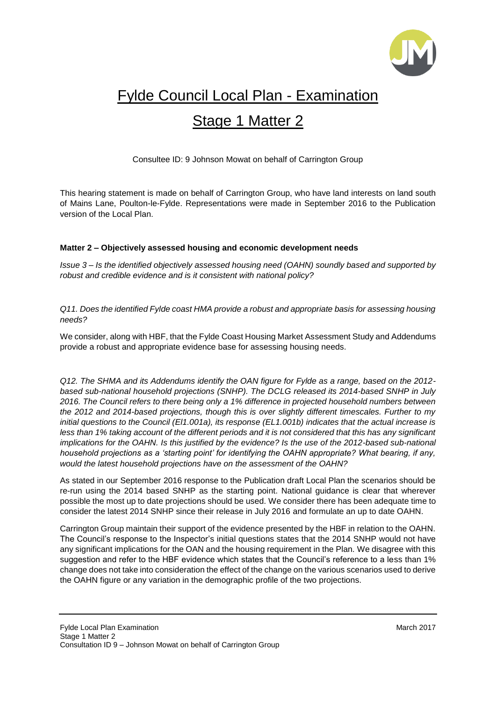

# Fylde Council Local Plan - Examination

# Stage 1 Matter 2

Consultee ID: 9 Johnson Mowat on behalf of Carrington Group

This hearing statement is made on behalf of Carrington Group, who have land interests on land south of Mains Lane, Poulton-le-Fylde. Representations were made in September 2016 to the Publication version of the Local Plan.

## **Matter 2 – Objectively assessed housing and economic development needs**

*Issue 3 – Is the identified objectively assessed housing need (OAHN) soundly based and supported by robust and credible evidence and is it consistent with national policy?*

*Q11. Does the identified Fylde coast HMA provide a robust and appropriate basis for assessing housing needs?*

We consider, along with HBF, that the Fylde Coast Housing Market Assessment Study and Addendums provide a robust and appropriate evidence base for assessing housing needs.

*Q12. The SHMA and its Addendums identify the OAN figure for Fylde as a range, based on the 2012 based sub-national household projections (SNHP). The DCLG released its 2014-based SNHP in July 2016. The Council refers to there being only a 1% difference in projected household numbers between the 2012 and 2014-based projections, though this is over slightly different timescales. Further to my initial questions to the Council (El1.001a), its response (EL1.001b) indicates that the actual increase is less than 1% taking account of the different periods and it is not considered that this has any significant implications for the OAHN. Is this justified by the evidence? Is the use of the 2012-based sub-national household projections as a 'starting point' for identifying the OAHN appropriate? What bearing, if any, would the latest household projections have on the assessment of the OAHN?*

As stated in our September 2016 response to the Publication draft Local Plan the scenarios should be re-run using the 2014 based SNHP as the starting point. National guidance is clear that wherever possible the most up to date projections should be used. We consider there has been adequate time to consider the latest 2014 SNHP since their release in July 2016 and formulate an up to date OAHN.

Carrington Group maintain their support of the evidence presented by the HBF in relation to the OAHN. The Council's response to the Inspector's initial questions states that the 2014 SNHP would not have any significant implications for the OAN and the housing requirement in the Plan. We disagree with this suggestion and refer to the HBF evidence which states that the Council's reference to a less than 1% change does not take into consideration the effect of the change on the various scenarios used to derive the OAHN figure or any variation in the demographic profile of the two projections.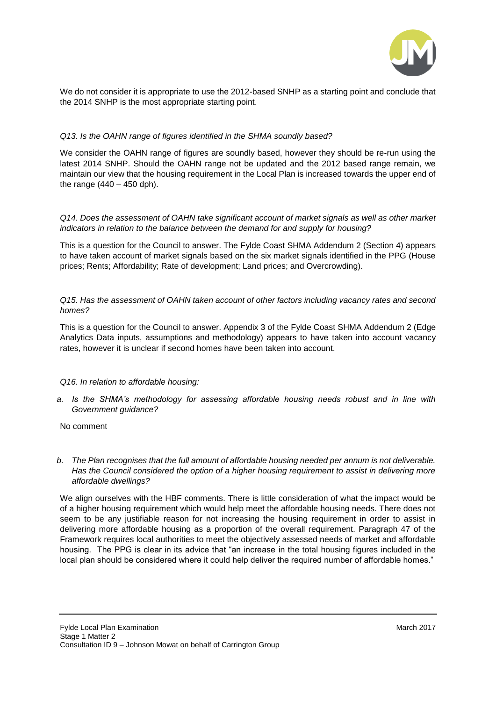

We do not consider it is appropriate to use the 2012-based SNHP as a starting point and conclude that the 2014 SNHP is the most appropriate starting point.

### *Q13. Is the OAHN range of figures identified in the SHMA soundly based?*

We consider the OAHN range of figures are soundly based, however they should be re-run using the latest 2014 SNHP. Should the OAHN range not be updated and the 2012 based range remain, we maintain our view that the housing requirement in the Local Plan is increased towards the upper end of the range  $(440 - 450$  dph).

*Q14. Does the assessment of OAHN take significant account of market signals as well as other market indicators in relation to the balance between the demand for and supply for housing?*

This is a question for the Council to answer. The Fylde Coast SHMA Addendum 2 (Section 4) appears to have taken account of market signals based on the six market signals identified in the PPG (House prices; Rents; Affordability; Rate of development; Land prices; and Overcrowding).

#### *Q15. Has the assessment of OAHN taken account of other factors including vacancy rates and second homes?*

This is a question for the Council to answer. Appendix 3 of the Fylde Coast SHMA Addendum 2 (Edge Analytics Data inputs, assumptions and methodology) appears to have taken into account vacancy rates, however it is unclear if second homes have been taken into account.

#### *Q16. In relation to affordable housing:*

*a. Is the SHMA's methodology for assessing affordable housing needs robust and in line with Government guidance?*

#### No comment

*b. The Plan recognises that the full amount of affordable housing needed per annum is not deliverable. Has the Council considered the option of a higher housing requirement to assist in delivering more affordable dwellings?*

We align ourselves with the HBF comments. There is little consideration of what the impact would be of a higher housing requirement which would help meet the affordable housing needs. There does not seem to be any justifiable reason for not increasing the housing requirement in order to assist in delivering more affordable housing as a proportion of the overall requirement. Paragraph 47 of the Framework requires local authorities to meet the objectively assessed needs of market and affordable housing. The PPG is clear in its advice that "an increase in the total housing figures included in the local plan should be considered where it could help deliver the required number of affordable homes."